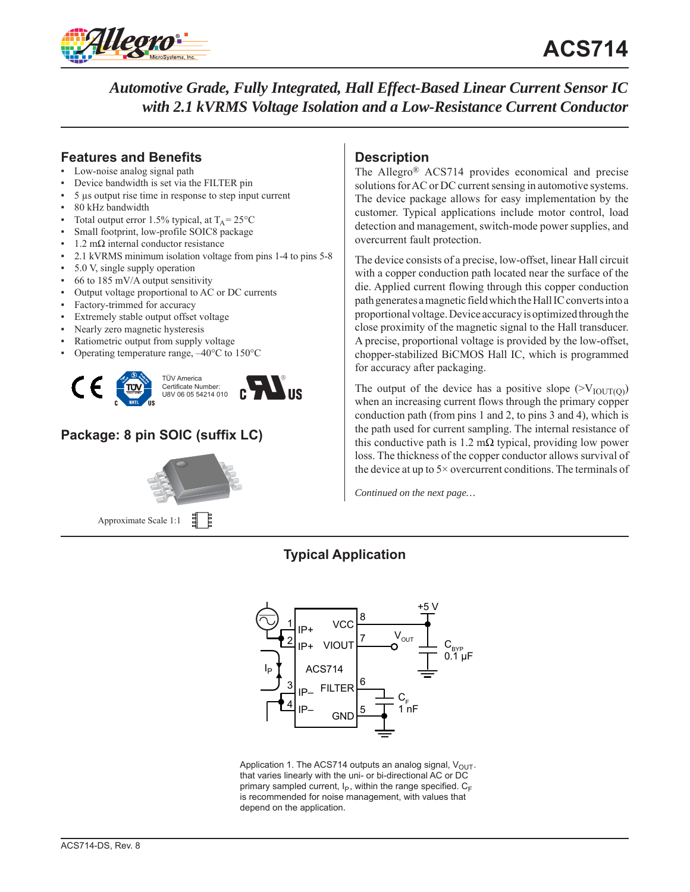

## **Features and Benefits**

- Low-noise analog signal path
- Device bandwidth is set via the FILTER pin
- 5 μs output rise time in response to step input current
- 80 kHz bandwidth
- Total output error 1.5% typical, at  $T_A = 25^{\circ}C$
- Small footprint, low-profile SOIC8 package
- $1.2$  mΩ internal conductor resistance
- 2.1 kVRMS minimum isolation voltage from pins 1-4 to pins 5-8
- 5.0 V, single supply operation
- $66$  to 185 mV/A output sensitivity
- Output voltage proportional to AC or DC currents
- Factory-trimmed for accuracy
- Extremely stable output offset voltage
- Nearly zero magnetic hysteresis
- Ratiometric output from supply voltage
- Operating temperature range,  $-40^{\circ}$ C to 150 $^{\circ}$ C



# **Package: 8 pin SOIC (suffix LC)**



非 Approximate Scale 1:1

## **Description**

The Allegro® ACS714 provides economical and precise solutions for AC or DC current sensing in automotive systems. The device package allows for easy implementation by the customer. Typical applications include motor control, load detection and management, switch-mode power supplies, and overcurrent fault protection.

The device consists of a precise, low-offset, linear Hall circuit with a copper conduction path located near the surface of the die. Applied current flowing through this copper conduction path generates a magnetic field which the Hall IC converts into a proportional voltage. Device accuracy is optimized through the close proximity of the magnetic signal to the Hall transducer. A precise, proportional voltage is provided by the low-offset, chopper-stabilized BiCMOS Hall IC, which is programmed for accuracy after packaging.

The output of the device has a positive slope  $(>V_{\text{IOUT(0)}})$ when an increasing current flows through the primary copper conduction path (from pins 1 and 2, to pins 3 and 4), which is the path used for current sampling. The internal resistance of this conductive path is  $1.2 \text{ m}\Omega$  typical, providing low power loss. The thickness of the copper conductor allows survival of the device at up to 5× overcurrent conditions. The terminals of

*Continued on the next page…*

# **Typical Application**



Application 1. The ACS714 outputs an analog signal,  $V_{\text{OUT}}$ . that varies linearly with the uni- or bi-directional AC or DC primary sampled current,  $I_P$ , within the range specified.  $C_F$ is recommended for noise management, with values that depend on the application.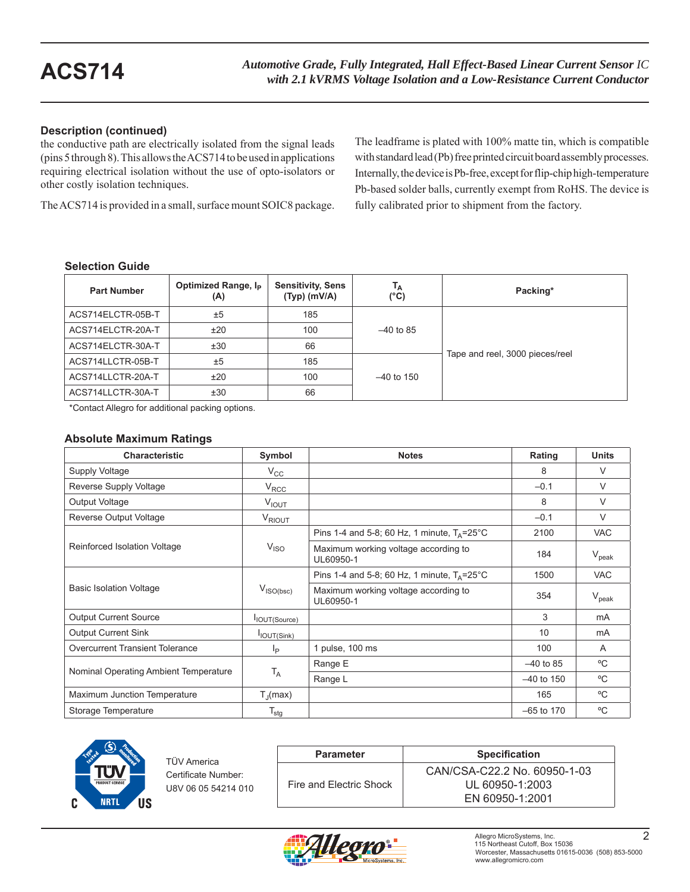## **Description (continued)**

the conductive path are electrically isolated from the signal leads (pins 5 through 8). This allows the ACS714 to be used in applications requiring electrical isolation without the use of opto-isolators or other costly isolation techniques.

The ACS714 is provided in a small, surface mount SOIC8 package.

The leadframe is plated with 100% matte tin, which is compatible with standard lead (Pb) free printed circuit board assembly processes. Internally, the device is Pb-free, except for flip-chip high-temperature Pb-based solder balls, currently exempt from RoHS. The device is fully calibrated prior to shipment from the factory.

## **Selection Guide**

| <b>Part Number</b> | Optimized Range, I <sub>P</sub><br>(A) | <b>Sensitivity, Sens</b><br>$(Typ)$ (mV/A) | Тд<br>(°C)   | Packing*                        |
|--------------------|----------------------------------------|--------------------------------------------|--------------|---------------------------------|
| ACS714ELCTR-05B-T  | ±5                                     | 185                                        |              |                                 |
| ACS714ELCTR-20A-T  | ±20                                    | 100                                        | $-40$ to 85  |                                 |
| ACS714ELCTR-30A-T  | ±30                                    | 66                                         |              |                                 |
| ACS714LLCTR-05B-T  | ±5                                     | 185                                        |              | Tape and reel, 3000 pieces/reel |
| ACS714LLCTR-20A-T  | ±20                                    | 100                                        | $-40$ to 150 |                                 |
| ACS714LLCTR-30A-T  | ±30                                    | 66                                         |              |                                 |

\*Contact Allegro for additional packing options.

## **Absolute Maximum Ratings**

| <b>Characteristic</b>                 | Symbol                | <b>Notes</b>                                            | Rating       | <b>Units</b>   |
|---------------------------------------|-----------------------|---------------------------------------------------------|--------------|----------------|
| Supply Voltage                        | $V_{\rm CC}$          |                                                         | 8            | $\vee$         |
| Reverse Supply Voltage                | $V_{RCC}$             |                                                         | $-0.1$       | $\vee$         |
| Output Voltage                        | V <sub>IOUT</sub>     |                                                         | 8            | V              |
| Reverse Output Voltage                | V <sub>RIOUT</sub>    |                                                         | $-0.1$       | $\vee$         |
|                                       |                       | Pins 1-4 and 5-8; 60 Hz, 1 minute, $T_A = 25^{\circ}$ C | 2100         | <b>VAC</b>     |
| Reinforced Isolation Voltage          | $V_{ISO}$             | Maximum working voltage according to<br>UL60950-1       | 184          | $V_{\rm peak}$ |
|                                       |                       | Pins 1-4 and 5-8; 60 Hz, 1 minute, $T_A = 25^{\circ}$ C | 1500         | <b>VAC</b>     |
| <b>Basic Isolation Voltage</b>        | $V_{\text{ISO(bsc)}}$ | Maximum working voltage according to<br>UL60950-1       | 354          | $V_{\rm peak}$ |
| <b>Output Current Source</b>          | IOUT(Source)          |                                                         | 3            | mA             |
| <b>Output Current Sink</b>            | IOUT(Sink)            |                                                         | 10           | mA             |
| Overcurrent Transient Tolerance       | Ιp                    | 1 pulse, 100 ms                                         | 100          | A              |
|                                       |                       | Range E                                                 | $-40$ to 85  | °C             |
| Nominal Operating Ambient Temperature | T <sub>A</sub>        | Range L                                                 | $-40$ to 150 | °C             |
| Maximum Junction Temperature          | $T_{\parallel}$ (max) |                                                         | 165          | °C             |
| Storage Temperature                   | $T_{\text{stg}}$      |                                                         | $-65$ to 170 | °C             |



TÜV America Certificate Number: U8V 06 05 54214 010

| <b>Parameter</b>        | <b>Specification</b>         |
|-------------------------|------------------------------|
|                         | CAN/CSA-C22.2 No. 60950-1-03 |
| Fire and Electric Shock | UL 60950-1:2003              |
|                         | EN 60950-1:2001              |

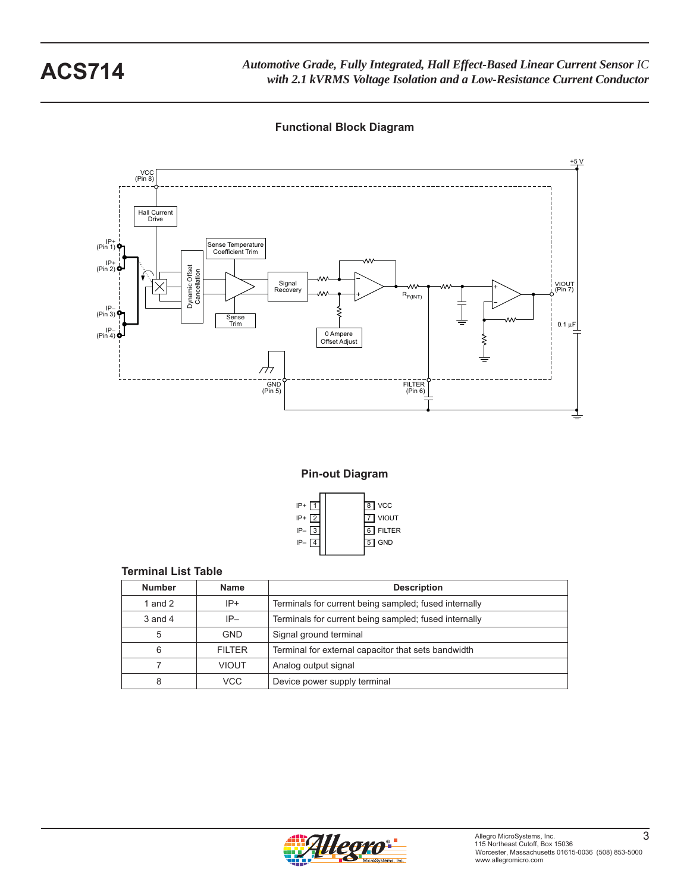**Functional Block Diagram**



**Pin-out Diagram**



### **Terminal List Table**

| <b>Number</b> | <b>Name</b>   | <b>Description</b>                                    |
|---------------|---------------|-------------------------------------------------------|
| 1 and $2$     | $IP+$         | Terminals for current being sampled; fused internally |
| $3$ and $4$   | $IP-$         | Terminals for current being sampled; fused internally |
| 5             | <b>GND</b>    | Signal ground terminal                                |
| 6             | <b>FILTER</b> | Terminal for external capacitor that sets bandwidth   |
|               | <b>VIOUT</b>  | Analog output signal                                  |
| 8             | VCC           | Device power supply terminal                          |

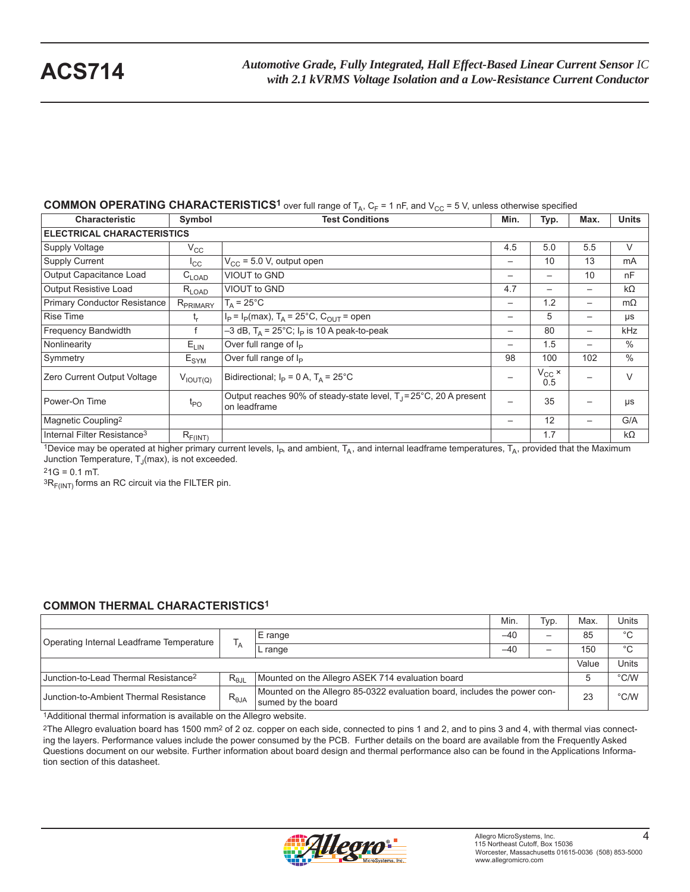## **COMMON OPERATING CHARACTERISTICS<sup>1</sup>** over full range of  $T_A$ ,  $C_F$  = 1 nF, and  $V_{CC}$  = 5 V, unless otherwise specified

| <b>Characteristic</b>                   | Symbol               | <b>Test Conditions</b>                                                                       | Min.              | Typ.                     | Max.                     | <b>Units</b>  |  |  |  |  |
|-----------------------------------------|----------------------|----------------------------------------------------------------------------------------------|-------------------|--------------------------|--------------------------|---------------|--|--|--|--|
| <b>ELECTRICAL CHARACTERISTICS</b>       |                      |                                                                                              |                   |                          |                          |               |  |  |  |  |
| <b>Supply Voltage</b>                   | $V_{\rm CC}$         |                                                                                              | 4.5               | 5.0                      | 5.5                      | V             |  |  |  |  |
| <b>Supply Current</b>                   | $I_{\rm CC}$         | $V_{CC}$ = 5.0 V, output open                                                                | $\qquad \qquad -$ | 10                       | 13                       | mA            |  |  |  |  |
| Output Capacitance Load                 | $C_{\mathsf{LOAD}}$  | VIOUT to GND                                                                                 | $\qquad \qquad -$ | $\overline{\phantom{0}}$ | 10                       | nF            |  |  |  |  |
| <b>Output Resistive Load</b>            | $R_{\sf LOAD}$       | VIOUT to GND                                                                                 | 4.7               |                          |                          | $k\Omega$     |  |  |  |  |
| Primary Conductor Resistance            | R <sub>PRIMARY</sub> | $T_A = 25^{\circ}$ C                                                                         |                   | 1.2                      | $\overline{\phantom{0}}$ | $m\Omega$     |  |  |  |  |
| <b>Rise Time</b>                        | t,                   | $I_P = I_P(max)$ , T <sub>A</sub> = 25°C, C <sub>OUT</sub> = open                            |                   | 5                        |                          | μs            |  |  |  |  |
| Frequency Bandwidth                     |                      | $-3$ dB, T <sub>A</sub> = 25°C; I <sub>P</sub> is 10 A peak-to-peak                          |                   | 80                       | $\overline{\phantom{m}}$ | kHz           |  |  |  |  |
| Nonlinearity                            | $E_{LIN}$            | Over full range of $I_P$                                                                     | —                 | 1.5                      |                          | $\frac{0}{0}$ |  |  |  |  |
| Symmetry                                | $E_{\text{SYM}}$     | Over full range of I <sub>P</sub>                                                            | 98                | 100                      | 102                      | $\frac{0}{0}$ |  |  |  |  |
| Zero Current Output Voltage             | $V_{\text{IOUT(Q)}}$ | Bidirectional; $I_P = 0 A$ , $T_A = 25^{\circ}C$                                             |                   | $V_{\rm CC} \times 0.5$  |                          | V             |  |  |  |  |
| Power-On Time                           | $t_{\text{PO}}$      | Output reaches 90% of steady-state level, T <sub>J</sub> =25°C, 20 A present<br>on leadframe |                   | 35                       |                          | μs            |  |  |  |  |
| Magnetic Coupling <sup>2</sup>          |                      |                                                                                              |                   | 12                       | —                        | G/A           |  |  |  |  |
| Internal Filter Resistance <sup>3</sup> | $R_{F(INT)}$         |                                                                                              |                   | 1.7                      |                          | $k\Omega$     |  |  |  |  |

1Device may be operated at higher primary current levels,  $I_P$ , and ambient,  $T_A$ , and internal leadframe temperatures,  $T_A$ , provided that the Maximum Junction Temperature,  $T_J$ (max), is not exceeded.

 $21G = 0.1$  mT.

 ${}^{3}R_{F(INT)}$  forms an RC circuit via the FILTER pin.

## **COMMON THERMAL CHARACTERISTICS1**

|                                                  |                 |                                                                                                | Min.  | Typ. | Max. | Units         |
|--------------------------------------------------|-----------------|------------------------------------------------------------------------------------------------|-------|------|------|---------------|
| Operating Internal Leadframe Temperature         | ΙA.             | E range                                                                                        | $-40$ | —    | 85   | $^{\circ}C$   |
|                                                  |                 | L range                                                                                        | $-40$ |      | 150  | $^{\circ}C$   |
| Value                                            |                 |                                                                                                |       |      |      |               |
| Junction-to-Lead Thermal Resistance <sup>2</sup> | $R_{\theta$ JL  | Mounted on the Allegro ASEK 714 evaluation board                                               |       |      |      | $\degree$ C/W |
| Junction-to-Ambient Thermal Resistance           | $R_{\theta JA}$ | Mounted on the Allegro 85-0322 evaluation board, includes the power con-<br>sumed by the board |       |      |      | $\degree$ C/W |

<sup>1</sup>Additional thermal information is available on the Allegro website.

<sup>2</sup>The Allegro evaluation board has 1500 mm<sup>2</sup> of 2 oz. copper on each side, connected to pins 1 and 2, and to pins 3 and 4, with thermal vias connecting the layers. Performance values include the power consumed by the PCB. Further details on the board are available from the Frequently Asked Questions document on our website. Further information about board design and thermal performance also can be found in the Applications Information section of this datasheet.

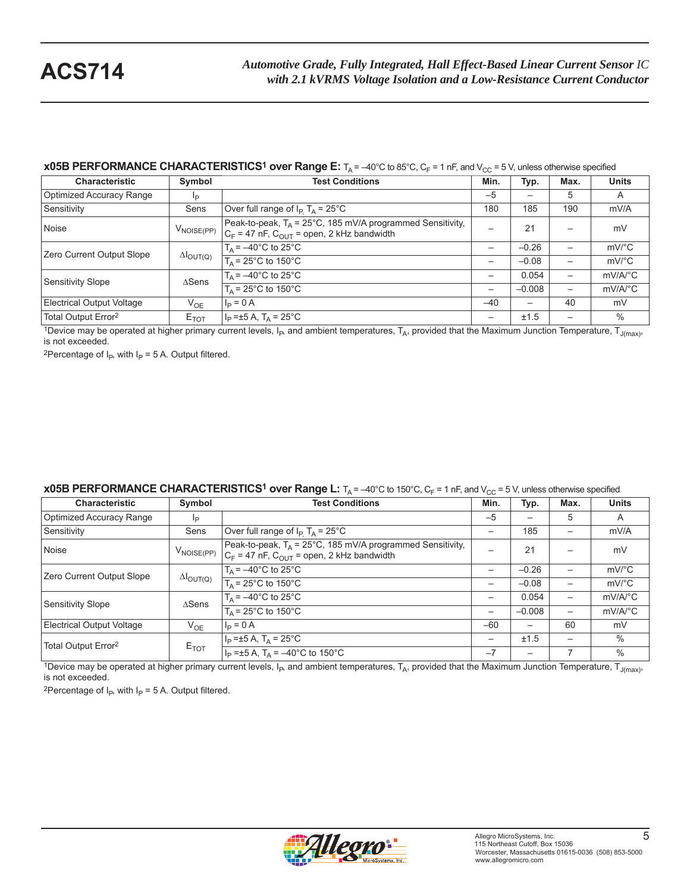### **x05B PERFORMANCE CHARACTERISTICS<sup>1</sup> over Range E:**  $T_A = -40^\circ$ C to 85°C, C<sub>F</sub> = 1 nF, and V<sub>CC</sub> = 5 V, unless otherwise specified

| <b>Characteristic</b>           | Symbol                     | <b>Test Conditions</b>                                                                                                   | Min.  | Typ.     | Max. | <b>Units</b>          |
|---------------------------------|----------------------------|--------------------------------------------------------------------------------------------------------------------------|-------|----------|------|-----------------------|
| Optimized Accuracy Range        | Ιp                         |                                                                                                                          | $-5$  |          | 5    | A                     |
| Sensitivity                     | Sens                       | Over full range of $I_P$ T <sub>A</sub> = 25°C                                                                           | 180   | 185      | 190  | mV/A                  |
| Noise                           | $V_{\text{NOISE(PP)}}$     | Peak-to-peak, $T_A = 25^{\circ}$ C, 185 mV/A programmed Sensitivity,<br>$C_F$ = 47 nF, $C_{OUT}$ = open, 2 kHz bandwidth |       | 21       |      | mV                    |
| Zero Current Output Slope       | $\Delta I_{\text{OUT}(Q)}$ | $T_{\text{A}}$ = $-40^{\circ}$ C to 25 $^{\circ}$ C                                                                      |       | $-0.26$  |      | $mV$ <sup>o</sup> $C$ |
|                                 |                            | $T_A$ = 25°C to 150°C                                                                                                    | -     | $-0.08$  |      | $mV$ °C               |
| Sensitivity Slope               | $\triangle$ Sens           | $T_A = -40^{\circ}$ C to 25°C                                                                                            | -     | 0.054    |      | $mV/A$ <sup>o</sup> C |
|                                 |                            | $T_A$ = 25°C to 150°C                                                                                                    | —     | $-0.008$ |      | $mV/A$ <sup>o</sup> C |
| Electrical Output Voltage       | $V_{OE}$                   | $I_P = 0 A$                                                                                                              | $-40$ | —        | 40   | mV                    |
| Total Output Error <sup>2</sup> | $E_{TOT}$                  | $I_P = \pm 5 A$ , T <sub>A</sub> = 25°C                                                                                  |       | ±1.5     |      | $\%$                  |

1Device may be operated at higher primary current levels,  $I_P$ , and ambient temperatures,  $T_A$ , provided that the Maximum Junction Temperature,  $T_{J(max)}$ , is not exceeded.

<sup>2</sup>Percentage of  $I_P$ , with  $I_P = 5$  A. Output filtered.

## **x05B PERFORMANCE CHARACTERISTICS<sup>1</sup> over Range L:**  $T_A = -40^{\circ}$ C to 150°C, C<sub>F</sub> = 1 nF, and V<sub>CC</sub> = 5 V, unless otherwise specified

| <b>Characteristic</b>            | Symbol                     | <b>Test Conditions</b>                                                                                                   | Min.                     | Typ.     | Max. | <b>Units</b>            |
|----------------------------------|----------------------------|--------------------------------------------------------------------------------------------------------------------------|--------------------------|----------|------|-------------------------|
| Optimized Accuracy Range         | Ιp                         |                                                                                                                          | $-5$                     |          | 5    | A                       |
| Sensitivity                      | Sens                       | Over full range of $I_P$ T <sub>A</sub> = 25°C                                                                           |                          | 185      |      | mV/A                    |
| Noise                            | $V_{\text{NOISE(PP)}}$     | Peak-to-peak, $T_A = 25^{\circ}$ C, 185 mV/A programmed Sensitivity,<br>$C_F$ = 47 nF, $C_{OUT}$ = open, 2 kHz bandwidth |                          | 21       |      | mV                      |
| Zero Current Output Slope        | $\Delta I_{\text{OUT(Q)}}$ | $T_A = -40^{\circ}$ C to 25°C                                                                                            | -                        | $-0.26$  |      | $mV$ <sup>o</sup> C     |
|                                  |                            | $T_A$ = 25°C to 150°C                                                                                                    | -                        | $-0.08$  |      | $mV$ <sup>o</sup> C     |
| Sensitivity Slope                | $\triangle$ Sens           | $T_A = -40^{\circ}$ C to 25°C                                                                                            | $\overline{\phantom{m}}$ | 0.054    |      | $mV/A$ <sup>o</sup> $C$ |
|                                  |                            | $T_A$ = 25°C to 150°C                                                                                                    | —                        | $-0.008$ | —    | $mV/A$ <sup>o</sup> $C$ |
| <b>Electrical Output Voltage</b> | $V_{OF}$                   | $I_{\rm p} = 0 A$                                                                                                        | $-60$                    | —        | 60   | mV                      |
|                                  |                            | $I_P = \pm 5 A$ , T <sub>A</sub> = 25°C                                                                                  | $\overline{\phantom{m}}$ | ±1.5     |      | $\%$                    |
| Total Output Error <sup>2</sup>  | $E_{TOT}$                  | $I_P = \pm 5$ A, T <sub>A</sub> = -40°C to 150°C                                                                         | $-7$                     |          |      | $\%$                    |

1Device may be operated at higher primary current levels,  $I_P$ , and ambient temperatures,  $T_A$ , provided that the Maximum Junction Temperature,  $T_{J(max)}$ , is not exceeded.

<sup>2</sup>Percentage of  $I_P$ , with  $I_P$  = 5 A. Output filtered.

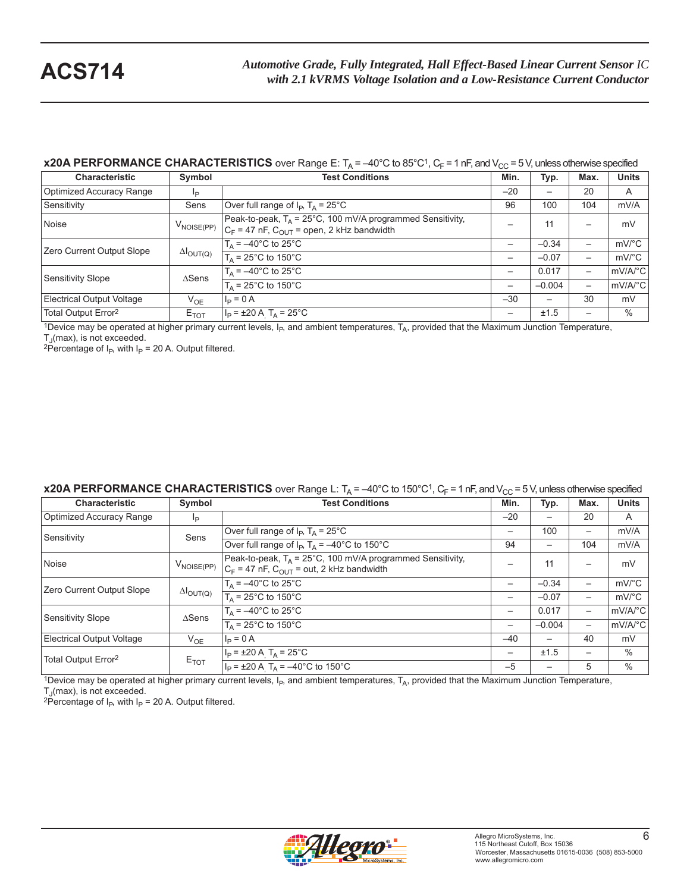## **x20A PERFORMANCE CHARACTERISTICS** over Range E:  $T_A = -40^\circ C$  to 85°C<sup>1</sup>,  $C_F = 1$  nF, and  $V_{CC} = 5$  V, unless otherwise specified

| <b>Characteristic</b>           | Symbol                     | <b>Test Conditions</b>                                                                                                   | Min.                     | Typ.     | Max.                     | <b>Units</b>          |
|---------------------------------|----------------------------|--------------------------------------------------------------------------------------------------------------------------|--------------------------|----------|--------------------------|-----------------------|
| Optimized Accuracy Range        | lp                         |                                                                                                                          | $-20$                    |          | 20                       | A                     |
| Sensitivity                     | Sens                       | Over full range of $I_P$ , $T_A = 25^{\circ}C$                                                                           | 96                       | 100      | 104                      | mV/A                  |
| Noise                           | $V_{\text{NOISE(PP)}}$     | Peak-to-peak, $T_A = 25^{\circ}$ C, 100 mV/A programmed Sensitivity,<br>$C_F$ = 47 nF, $C_{OUT}$ = open, 2 kHz bandwidth |                          | 11       | -                        | mV                    |
| Zero Current Output Slope       | $\Delta I_{\text{OUT(Q)}}$ | $T_A = -40^{\circ}$ C to 25°C                                                                                            | $\overline{\phantom{0}}$ | $-0.34$  | -                        | $mV$ <sup>o</sup> C   |
|                                 |                            | $T_{\text{A}}$ = 25°C to 150°C                                                                                           | —                        | $-0.07$  | —                        | $mV$ <sup>o</sup> $C$ |
| Sensitivity Slope               | $\triangle$ Sens           | $T_A = -40^{\circ}$ C to $25^{\circ}$ C                                                                                  | $\overline{\phantom{m}}$ | 0.017    | —                        | mV/A/°C               |
|                                 |                            | $T_A = 25^{\circ}$ C to 150°C                                                                                            |                          | $-0.004$ | $\overline{\phantom{0}}$ | mV/A/°C               |
| Electrical Output Voltage       | $V_{OE}$                   | $I_P = 0 A$                                                                                                              | $-30$                    |          | 30                       | mV                    |
| Total Output Error <sup>2</sup> | $E_{TOT}$                  | $I_P = \pm 20$ A T <sub>A</sub> = 25°C                                                                                   | $\overline{\phantom{m}}$ | ±1.5     | -                        | $\%$                  |

<sup>1</sup>Device may be operated at higher primary current levels,  $I_P$ , and ambient temperatures,  $T_A$ , provided that the Maximum Junction Temperature,  $T_A$ (max), is not exceeded.

<sup>2</sup>Percentage of I<sub>P</sub>, with I<sub>P</sub> = 20 A. Output filtered.

## **x20A PERFORMANCE CHARACTERISTICS** over Range L:  $T_A = -40^{\circ}C$  to 150°C<sup>1</sup>,  $C_F = 1$  nF, and  $V_{CC} = 5$  V, unless otherwise specified

| <b>Characteristic</b>            | Symbol                     | <b>Test Conditions</b>                                                                                                  | Min.                     | Typ.                     | Max.                     | <b>Units</b>          |
|----------------------------------|----------------------------|-------------------------------------------------------------------------------------------------------------------------|--------------------------|--------------------------|--------------------------|-----------------------|
| <b>Optimized Accuracy Range</b>  | I <sub>P</sub>             |                                                                                                                         | $-20$                    |                          | 20                       | A                     |
| Sensitivity                      | Sens                       | Over full range of $I_P$ , $T_A = 25^{\circ}C$                                                                          | $\overline{\phantom{m}}$ | 100                      | —                        | mV/A                  |
|                                  |                            | Over full range of $I_P$ , $T_A = -40^{\circ}$ C to 150°C                                                               | 94                       | $\overline{\phantom{0}}$ | 104                      | mV/A                  |
| Noise                            | $V_{\mathsf{NOISE(PP)}}$   | Peak-to-peak, $T_A = 25^{\circ}$ C, 100 mV/A programmed Sensitivity,<br>$C_F$ = 47 nF, $C_{OUT}$ = out, 2 kHz bandwidth |                          | 11                       | $\overline{\phantom{0}}$ | mV                    |
| Zero Current Output Slope        | $\Delta I_{\text{OUT(Q)}}$ | $T_{\Delta}$ = -40°C to 25°C                                                                                            |                          | $-0.34$                  | —                        | $mV$ <sup>o</sup> $C$ |
|                                  |                            | $T_A$ = 25°C to 150°C                                                                                                   | $\qquad \qquad$          | $-0.07$                  | —                        | $mV$ <sup>o</sup> C   |
| Sensitivity Slope                | $\triangle$ Sens           | $T_A = -40^{\circ}$ C to 25°C                                                                                           | $\overline{\phantom{m}}$ | 0.017                    | —                        | mV/A/°C               |
|                                  |                            | $T_A$ = 25°C to 150°C                                                                                                   | $\overline{\phantom{m}}$ | $-0.004$                 | —                        | mV/A/°C               |
| <b>Electrical Output Voltage</b> | $V_{OE}$                   | $I_P = 0 A$                                                                                                             | $-40$                    | $\overline{\phantom{0}}$ | 40                       | mV                    |
| Total Output Error <sup>2</sup>  |                            | $I_P$ = ±20 A T <sub>A</sub> = 25°C                                                                                     | $\overline{\phantom{m}}$ | ±1.5                     | —                        | $\%$                  |
|                                  | $E_{TOT}$                  | $I_P = \pm 20$ A T <sub>A</sub> = -40°C to 150°C                                                                        | $-5$                     |                          | 5                        | $\%$                  |

1Device may be operated at higher primary current levels,  $I_{P}$ , and ambient temperatures,  $T_A$ , provided that the Maximum Junction Temperature,  $T_J$ (max), is not exceeded.

<sup>2</sup>Percentage of I<sub>P</sub>, with I<sub>P</sub> = 20 A. Output filtered.

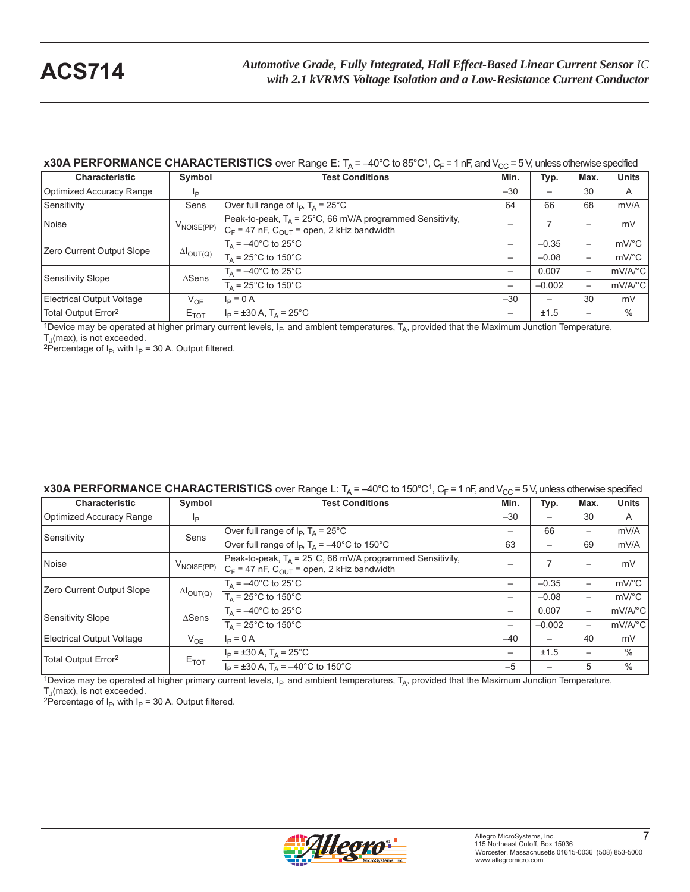## **x30A PERFORMANCE CHARACTERISTICS** over Range E:  $T_A = -40^\circ C$  to 85°C<sup>1</sup>,  $C_F = 1$  nF, and  $V_{CC} = 5$  V, unless otherwise specified

| <b>Characteristic</b>           | Symbol                     | <b>Test Conditions</b>                                                                                                  | Min.                     | Typ.     | Max.                     | <b>Units</b>          |
|---------------------------------|----------------------------|-------------------------------------------------------------------------------------------------------------------------|--------------------------|----------|--------------------------|-----------------------|
| Optimized Accuracy Range        | lp                         |                                                                                                                         | $-30$                    |          | 30                       | A                     |
| Sensitivity                     | Sens                       | Over full range of $I_P$ , $T_A = 25^{\circ}C$                                                                          | 64                       | 66       | 68                       | mV/A                  |
| Noise                           | $V_{\text{NOISE(PP)}}$     | Peak-to-peak, $T_A = 25^{\circ}$ C, 66 mV/A programmed Sensitivity,<br>$C_F$ = 47 nF, $C_{OUT}$ = open, 2 kHz bandwidth |                          |          |                          | mV                    |
| Zero Current Output Slope       | $\Delta I_{\text{OUT(Q)}}$ | $T_A = -40^{\circ}$ C to 25°C                                                                                           | $\overline{\phantom{0}}$ | $-0.35$  | -                        | $mV$ <sup>o</sup> C   |
|                                 |                            | $T_{\text{A}}$ = 25°C to 150°C                                                                                          | —                        | $-0.08$  | —                        | $mV$ <sup>o</sup> $C$ |
| Sensitivity Slope               | $\triangle$ Sens           | $T_A = -40^{\circ}$ C to $25^{\circ}$ C                                                                                 | $\overline{\phantom{m}}$ | 0.007    | —                        | mV/A/°C               |
|                                 |                            | $T_A = 25^{\circ}$ C to 150°C                                                                                           |                          | $-0.002$ | $\overline{\phantom{0}}$ | mV/A/°C               |
| Electrical Output Voltage       | $V_{OE}$                   | $I_P = 0 A$                                                                                                             | $-30$                    |          | 30                       | mV                    |
| Total Output Error <sup>2</sup> | $E_{TOT}$                  | $I_P = \pm 30 A$ , T <sub>A</sub> = 25°C                                                                                | $\overline{\phantom{m}}$ | ±1.5     | -                        | $\%$                  |

<sup>1</sup>Device may be operated at higher primary current levels,  $I_P$ , and ambient temperatures,  $T_A$ , provided that the Maximum Junction Temperature,  $T_A$ (max), is not exceeded.

<sup>2</sup>Percentage of I<sub>P</sub>, with I<sub>P</sub> = 30 A. Output filtered.

### **x30A PERFORMANCE CHARACTERISTICS** over Range L:  $T_A = -40^{\circ}$ C to 150°C<sup>1</sup>, C<sub>F</sub> = 1 nF, and V<sub>CC</sub> = 5 V, unless otherwise specified

| <b>Characteristic</b>            | Symbol                     | <b>Test Conditions</b>                                                                                                  | Min.                     | Typ.                     | Max. | <b>Units</b>            |
|----------------------------------|----------------------------|-------------------------------------------------------------------------------------------------------------------------|--------------------------|--------------------------|------|-------------------------|
| Optimized Accuracy Range         | Ip                         |                                                                                                                         | $-30$                    |                          | 30   | A                       |
| Sensitivity                      | Sens                       | Over full range of $I_P$ , $T_A = 25^{\circ}C$                                                                          | $\overline{\phantom{m}}$ | 66                       | —    | mV/A                    |
|                                  |                            | Over full range of $I_P$ , $T_A = -40^{\circ}C$ to 150°C                                                                | 63                       | $\overline{\phantom{0}}$ | 69   | mV/A                    |
| Noise                            | V <sub>NOISE(PP)</sub>     | Peak-to-peak, $T_A = 25^{\circ}$ C, 66 mV/A programmed Sensitivity,<br>$C_F$ = 47 nF, $C_{OUT}$ = open, 2 kHz bandwidth |                          | 7                        | —    | mV                      |
| Zero Current Output Slope        | $\Delta I_{\text{OUT(Q)}}$ | $T_A = -40^{\circ}$ C to 25 $^{\circ}$ C                                                                                | $\overline{\phantom{0}}$ | $-0.35$                  | —    | $mV$ <sup>o</sup> $C$   |
|                                  |                            | $T_A = 25^{\circ}$ C to 150°C                                                                                           |                          | $-0.08$                  | —    | $mV$ °C                 |
| <b>Sensitivity Slope</b>         | $\triangle$ Sens           | $T_A = -40^{\circ}$ C to 25°C                                                                                           |                          | 0.007                    | —    | $mV/A$ <sup>o</sup> C   |
|                                  |                            | $T_A = 25^{\circ}$ C to 150 $^{\circ}$ C                                                                                | $\overline{\phantom{m}}$ | $-0.002$                 | —    | $mV/A$ <sup>o</sup> $C$ |
| <b>Electrical Output Voltage</b> | $V_{OE}$                   | $l_{\rm p} = 0 A$                                                                                                       | $-40$                    |                          | 40   | mV                      |
| Total Output Error <sup>2</sup>  | $E_{TOT}$                  | $I_P = \pm 30$ A, $T_A = 25^{\circ}$ C                                                                                  |                          | ±1.5                     | —    | $\%$                    |
|                                  |                            | $I_P = \pm 30$ A, $T_A = -40^{\circ}$ C to 150°C                                                                        | $-5$                     | $\qquad \qquad$          | 5    | $\%$                    |

1Device may be operated at higher primary current levels,  $I_{P}$ , and ambient temperatures,  $T_A$ , provided that the Maximum Junction Temperature,  $T_J$ (max), is not exceeded.

<sup>2</sup>Percentage of I<sub>P</sub>, with I<sub>P</sub> = 30 A. Output filtered.

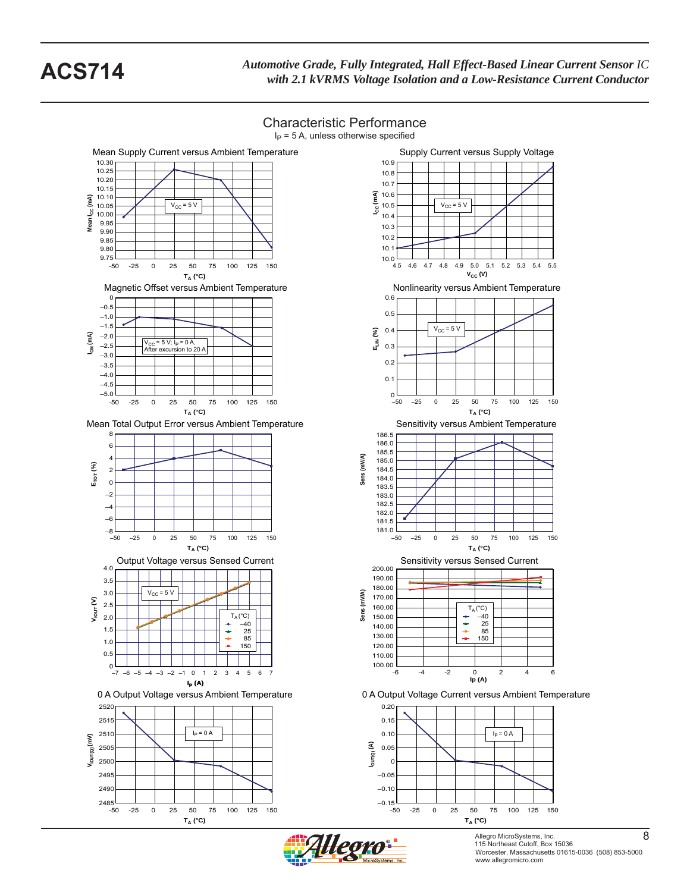



**TA (°C)**

-50 -25 0 25 50 75 100 125 150







Allegro MicroSystems, Inc. 8 115 Northeast Cutoff, Box 15036 Worcester, Massachusetts 01615-0036 (508) 853-5000 www.allegromicro.com

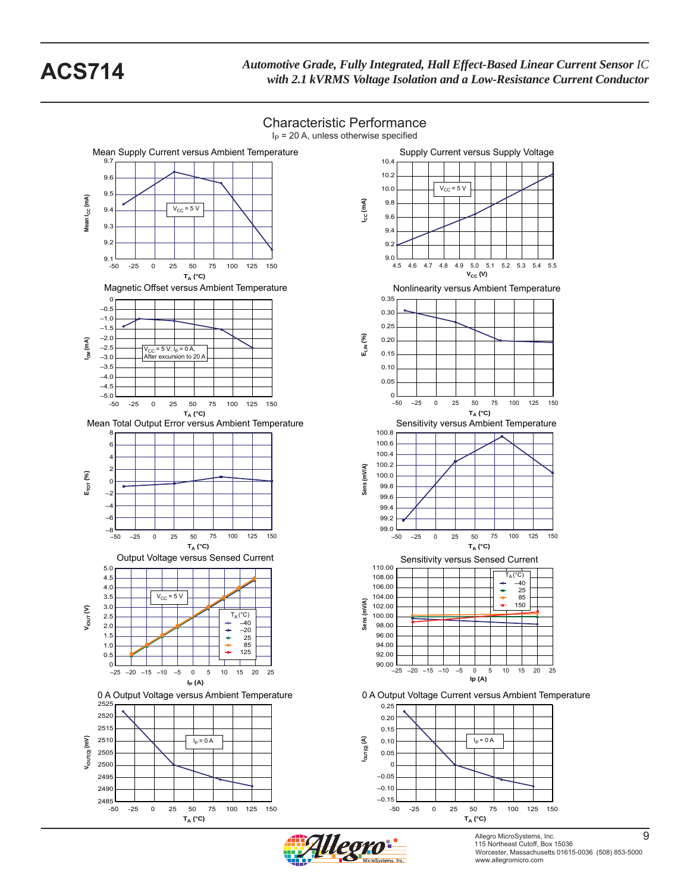

Characteristic Performance

Allegro MicroSystems, Inc. 9 115 Northeast Cutoff, Box 15036 www.allegromicro.com

Worcester, Massachusetts 01615-0036 (508) 853-5000

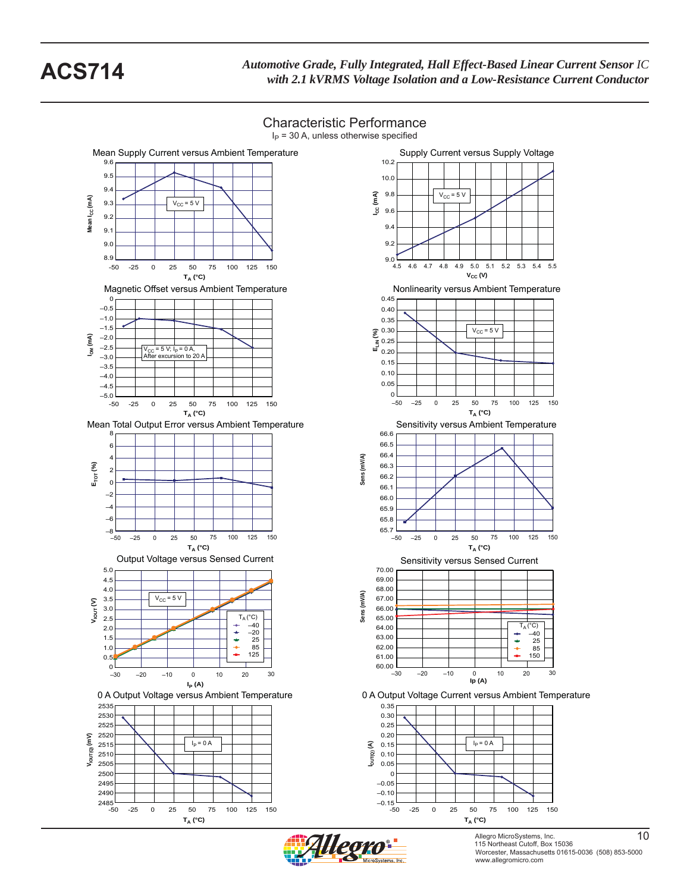

Characteristic Performance

Allegro MicroSystems, Inc. 10 115 Northeast Cutoff, Box 15036 Worcester, Massachusetts 01615-0036 (508) 853-5000 www.allegromicro.com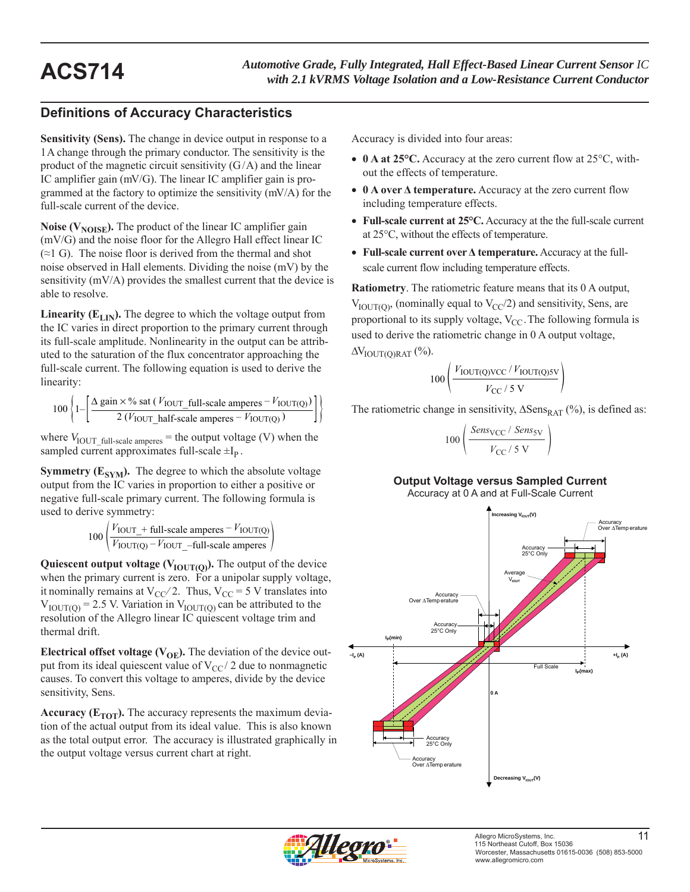# **Definitions of Accuracy Characteristics**

**Sensitivity (Sens).** The change in device output in response to a 1 A change through the primary conductor. The sensitivity is the product of the magnetic circuit sensitivity  $(G/A)$  and the linear IC amplifier gain (mV/G). The linear IC amplifier gain is programmed at the factory to optimize the sensitivity (mV/A) for the full-scale current of the device.

**Noise (** $V_{\text{NOISE}}$ **).** The product of the linear IC amplifier gain (mV/G) and the noise floor for the Allegro Hall effect linear IC  $(\approx 1 \text{ G})$ . The noise floor is derived from the thermal and shot noise observed in Hall elements. Dividing the noise (mV) by the sensitivity (mV/A) provides the smallest current that the device is able to resolve.

**Linearity (** $E_{LIN}$ **).** The degree to which the voltage output from the IC varies in direct proportion to the primary current through its full-scale amplitude. Nonlinearity in the output can be attributed to the saturation of the flux concentrator approaching the full-scale current. The following equation is used to derive the linearity:

$$
100\left\{1-\left[\frac{\Delta \text{ gain} \times \% \text{ sat } (V_{\text{IOUT\_full-scale amperes}} - V_{\text{IOUT(Q)}})}{2 (V_{\text{IOUT\_half-scale amperes}} - V_{\text{IOUT(Q)}})}\right]\right\}
$$

where  $V_{\text{IOUT\_full-scale amperes}}$  = the output voltage (V) when the sampled current approximates full-scale  $\pm I_p$ .

**Symmetry (** $E_{SYM}$ **).** The degree to which the absolute voltage output from the IC varies in proportion to either a positive or negative full-scale primary current. The following formula is used to derive symmetry:

$$
100 \left( \frac{V_{\text{IOUT}} + \text{full-scale amperes} - V_{\text{IOUT(Q)}}}{V_{\text{IOUT(Q)}} - V_{\text{IOUT}} - \text{full-scale amperes}} \right)
$$

**Quiescent output voltage (** $V_{\text{IOUT(O)}}$ **).** The output of the device when the primary current is zero. For a unipolar supply voltage, it nominally remains at  $V_{CC}/2$ . Thus,  $V_{CC} = 5$  V translates into  $V_{\text{IOUT(0)}} = 2.5$  V. Variation in  $V_{\text{IOUT(0)}}$  can be attributed to the resolution of the Allegro linear IC quiescent voltage trim and thermal drift.

**Electrical offset voltage (** $V_{OE}$ **).** The deviation of the device output from its ideal quiescent value of  $V_{CC}$  2 due to nonmagnetic causes. To convert this voltage to amperes, divide by the device sensitivity, Sens.

**Accuracy (** $E_{TOT}$ **).** The accuracy represents the maximum deviation of the actual output from its ideal value. This is also known as the total output error. The accuracy is illustrated graphically in the output voltage versus current chart at right.

Accuracy is divided into four areas:

- **0 A at 25°C.** Accuracy at the zero current flow at 25°C, without the effects of temperature.
- **0 A over Δ temperature.** Accuracy at the zero current flow including temperature effects.
- **Full-scale current at 25°C.** Accuracy at the the full-scale current at 25°C, without the effects of temperature.
- **Full-scale current over Δ temperature.** Accuracy at the fullscale current flow including temperature effects.

**Ratiometry**. The ratiometric feature means that its 0 A output,  $V_{\text{IOUT(0)}}$ , (nominally equal to  $V_{\text{CC}}/2$ ) and sensitivity, Sens, are proportional to its supply voltage,  $V_{CC}$ . The following formula is used to derive the ratiometric change in 0 A output voltage,  $\Delta V_{\text{IOUT}(\text{O})\text{RAT}}$  (%).

$$
100\left(\frac{V_{\text{IOUT(Q)VCC}}/V_{\text{IOUT(Q)SV}}}{V_{\text{CC}}/5\text{ V}}\right)
$$

The ratiometric change in sensitivity,  $\Delta$ Sens<sub>RAT</sub> (%), is defined as:

$$
00\left(\frac{Sens_{\rm VCC} / Sens_{\rm SV}}{V_{\rm CC} / 5 \text{ V}}\right)
$$

 $\mathbf{1}$ 

## **Output Voltage versus Sampled Current**

Accuracy at 0 A and at Full-Scale Current



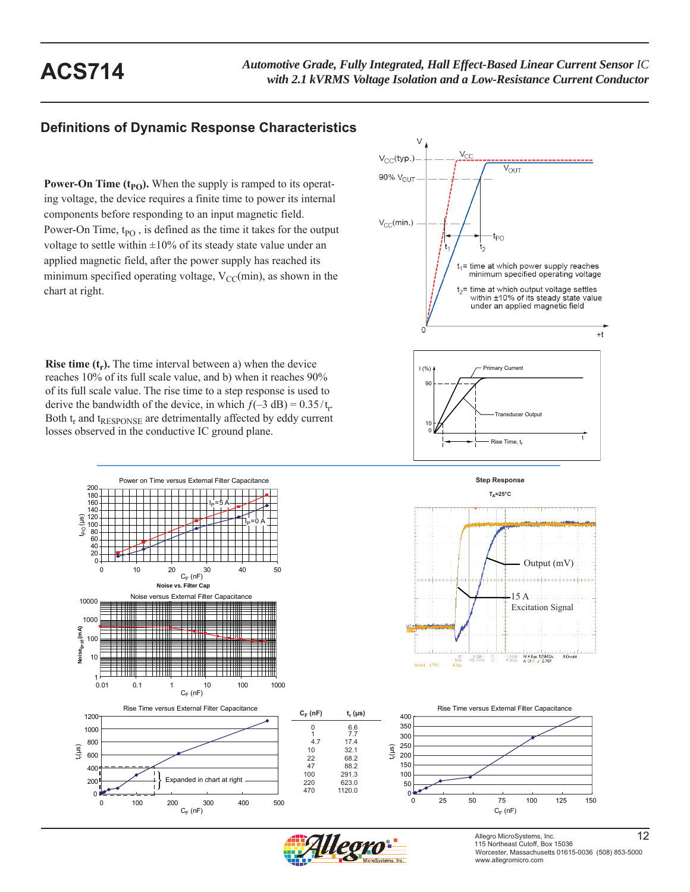## **Definitions of Dynamic Response Characteristics**

**Power-On Time**  $(t_{PO})$ **.** When the supply is ramped to its operating voltage, the device requires a finite time to power its internal components before responding to an input magnetic field. Power-On Time, t<sub>PO</sub>, is defined as the time it takes for the output voltage to settle within  $\pm 10\%$  of its steady state value under an applied magnetic field, after the power supply has reached its minimum specified operating voltage,  $V_{CC}(min)$ , as shown in the chart at right.

**Rise time**  $(t_r)$ **.** The time interval between a) when the device reaches 10% of its full scale value, and b) when it reaches 90% of its full scale value. The rise time to a step response is used to derive the bandwidth of the device, in which  $f(-3 \text{ dB}) = 0.35/t_r$ . Both t<sub>r</sub> and t<sub>RESPONSE</sub> are detrimentally affected by eddy current losses observed in the conductive IC ground plane.





Power on Time versus External Filter Capacitance 180 200 160 l $_\mathrm{P}$ =5 A 140  $t_{\text{p}}$  (μs) 120  $I_P$ =0 A  $100 -$ 60 80 20 40 0 0 10 20 30 40 50<br>C<sub>F</sub> (nF) **Noise vs. Filter Cap** Noise versus External Filter Capacitance 10000 1000 Noise<sub>(p-p)</sub> (mA) **Noise(p-p) (mA)** 100 10  $0.01$ 0.01 0.1 1 10 100 1000  $C_F$  (nF) 1200 1000 800 tr (μs) 600





**Step Response**







Allegro MicroSystems, Inc. 12 115 Northeast Cutoff, Box 15036 Worcester, Massachusetts 01615-0036 (508) 853-5000 www.allegromicro.com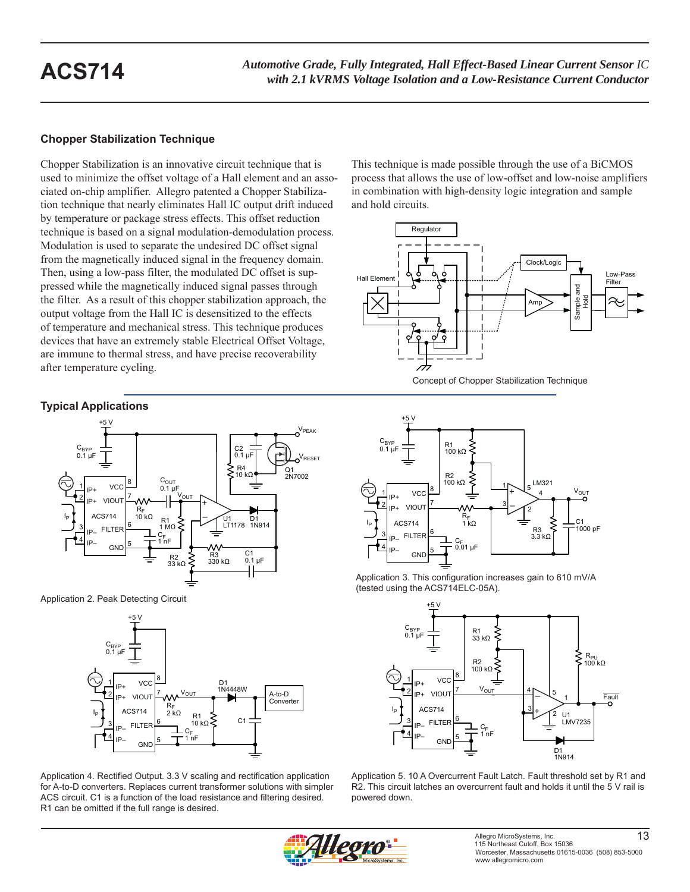## **Chopper Stabilization Technique**

Chopper Stabilization is an innovative circuit technique that is used to minimize the offset voltage of a Hall element and an associated on-chip amplifier. Allegro patented a Chopper Stabilization technique that nearly eliminates Hall IC output drift induced by temperature or package stress effects. This offset reduction technique is based on a signal modulation-demodulation process. Modulation is used to separate the undesired DC offset signal from the magnetically induced signal in the frequency domain. Then, using a low-pass filter, the modulated DC offset is suppressed while the magnetically induced signal passes through the filter. As a result of this chopper stabilization approach, the output voltage from the Hall IC is desensitized to the effects of temperature and mechanical stress. This technique produces devices that have an extremely stable Electrical Offset Voltage, are immune to thermal stress, and have precise recoverability after temperature cycling.

## **Typical Applications**



Application 2. Peak Detecting Circuit



Application 4. Rectified Output. 3.3 V scaling and rectification application for A-to-D converters. Replaces current transformer solutions with simpler ACS circuit. C1 is a function of the load resistance and filtering desired. R1 can be omitted if the full range is desired.

This technique is made possible through the use of a BiCMOS process that allows the use of low-offset and low-noise amplifiers in combination with high-density logic integration and sample and hold circuits.





Application 3. This configuration increases gain to 610 mV/A (tested using the ACS714ELC-05A).



Application 5. 10 A Overcurrent Fault Latch. Fault threshold set by R1 and R2. This circuit latches an overcurrent fault and holds it until the 5 V rail is powered down.

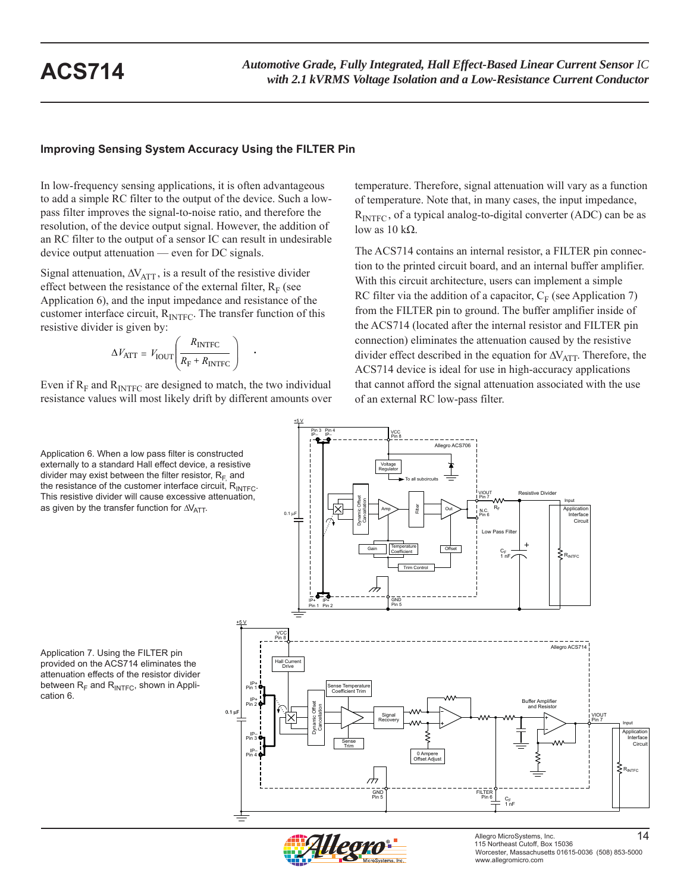## **Improving Sensing System Accuracy Using the FILTER Pin**

In low-frequency sensing applications, it is often advantageous to add a simple RC filter to the output of the device. Such a lowpass filter improves the signal-to-noise ratio, and therefore the resolution, of the device output signal. However, the addition of an RC filter to the output of a sensor IC can result in undesirable device output attenuation — even for DC signals.

Signal attenuation,  $\Delta V_{\text{ATT}}$ , is a result of the resistive divider effect between the resistance of the external filter,  $R_F$  (see Application 6), and the input impedance and resistance of the customer interface circuit,  $R_{\text{INTER}}$ . The transfer function of this resistive divider is given by:

$$
\Delta V_{\text{ATT}} = V_{\text{IOUT}} \left( \frac{R_{\text{INTER}}}{R_{\text{F}} + R_{\text{INTER}}} \right) \quad .
$$

Even if  $R_F$  and  $R_{\text{INTER}}$  are designed to match, the two individual resistance values will most likely drift by different amounts over

Application 6. When a low pass filter is constructed externally to a standard Hall effect device, a resistive divider may exist between the filter resistor,  $R_F$  and the resistance of the customer interface circuit,  $R_{\text{INTE}}$ . This resistive divider will cause excessive attenuation, as given by the transfer function for  $\Delta V_{\text{ATT}}$ .

Application 7. Using the FILTER pin provided on the ACS714 eliminates the attenuation effects of the resistor divider between  $R_F$  and  $R_{\text{INTER}}$ , shown in Application 6.

temperature. Therefore, signal attenuation will vary as a function of temperature. Note that, in many cases, the input impedance,  $R<sub>INTEC</sub>$ , of a typical analog-to-digital converter (ADC) can be as low as  $10$  kΩ.

The ACS714 contains an internal resistor, a FILTER pin connection to the printed circuit board, and an internal buffer amplifier. With this circuit architecture, users can implement a simple RC filter via the addition of a capacitor,  $C_F$  (see Application 7) from the FILTER pin to ground. The buffer amplifier inside of the ACS714 (located after the internal resistor and FILTER pin connection) eliminates the attenuation caused by the resistive divider effect described in the equation for  $\Delta V_{\text{ATT}}$ . Therefore, the ACS714 device is ideal for use in high-accuracy applications that cannot afford the signal attenuation associated with the use of an external RC low-pass filter.



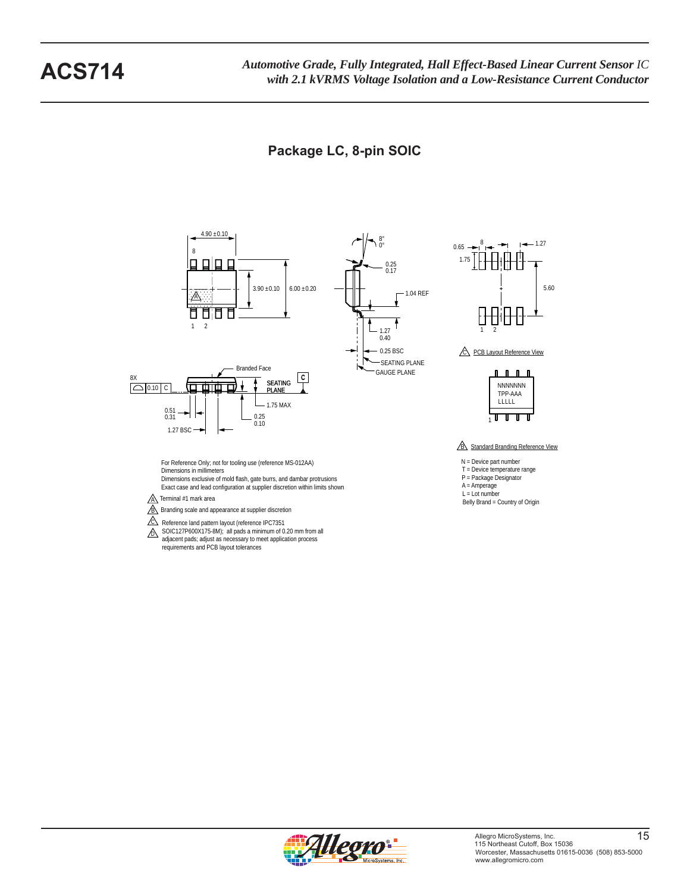# **Package LC, 8-pin SOIC**



 $\overline{A}$  Terminal #1 mark area

**B** Branding scale and appearance at supplier discretion

- $C\$  Reference land pattern layout (reference IPC7351
- $\sum$  SOIC127P600X175-8M); all pads a minimum of 0.20 mm from all adjacent pads; adjust as necessary to meet application process requirements and PCB layout tolerances



5.60

Belly Brand = Country of Origin